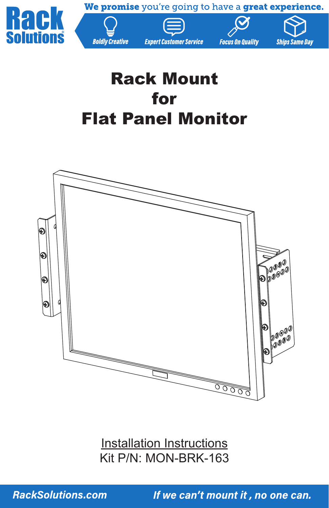

We promise you're going to have a great experience.





**Ships Same Day** 

# Rack Mount for Flat Panel Monitor

**Boldly Creative** 



Installation Instructions Kit P/N: MON-BRK-163

**RackSolutions.com** 

If we can't mount it, no one can.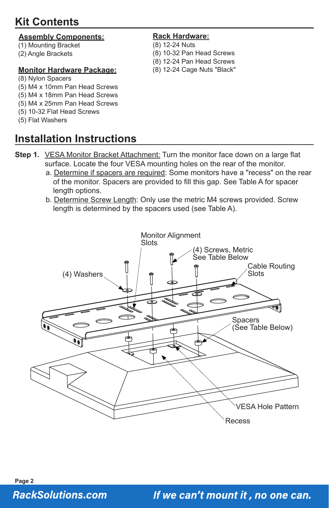# **Kit Contents**

#### **Assembly Components:**

- (1) Mounting Bracket
- (2) Angle Brackets

#### **Monitor Hardware Package:**

#### (8) Nylon Spacers

- (5) M4 x 10mm Pan Head Screws
- (5) M4 x 18mm Pan Head Screws
- (5) M4 x 25mm Pan Head Screws
- (5) 10-32 Flat Head Screws
- (5) Flat Washers

# **Installation Instructions**

#### **Rack Hardware:**

- (8) 12-24 Nuts
- (8) 10-32 Pan Head Screws
- (8) 12-24 Pan Head Screws
- (8) 12-24 Cage Nuts "Black"

- **Step 1.** VESA Monitor Bracket Attachment: Turn the monitor face down on a large flat surface. Locate the four VESA mounting holes on the rear of the monitor.
	- a. Determine if spacers are required: Some monitors have a "recess" on the rear of the monitor. Spacers are provided to fill this gap. See Table A for spacer length options.
	- b. Determine Screw Length: Only use the metric M4 screws provided. Screw length is determined by the spacers used (see Table A).

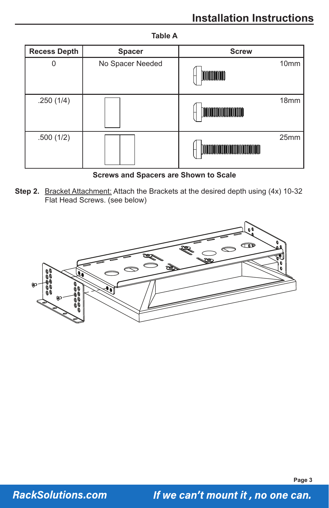| <b>Recess Depth</b> | <b>Spacer</b>    | <b>Screw</b>                                             |
|---------------------|------------------|----------------------------------------------------------|
| 0                   | No Spacer Needed | 10 <sub>mm</sub><br>MMMMM                                |
| .250(1/4)           |                  | 18 <sub>mm</sub><br>0000000000000000000000000            |
| .500(1/2)           |                  | 25 <sub>mm</sub><br>100000000000000000000000000000000000 |

#### **Table A**

#### **Screws and Spacers are Shown to Scale**

**Step 2.** Bracket Attachment: Attach the Brackets at the desired depth using (4x) 10-32 Flat Head Screws. (see below)



**Page 3**

### **RackSolutions.com**

If we can't mount it, no one can.